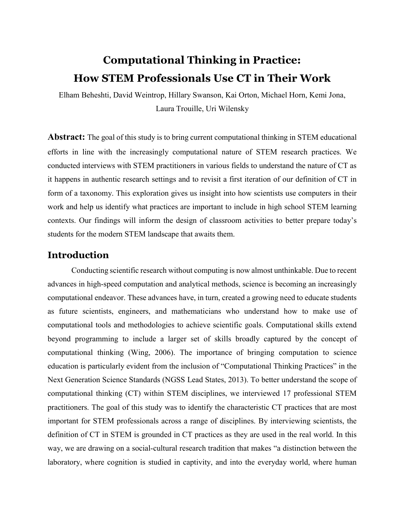# Computational Thinking in Practice: How STEM Professionals Use CT in Their Work

Elham Beheshti, David Weintrop, Hillary Swanson, Kai Orton, Michael Horn, Kemi Jona, Laura Trouille, Uri Wilensky

**Abstract:** The goal of this study is to bring current computational thinking in STEM educational efforts in line with the increasingly computational nature of STEM research practices. We conducted interviews with STEM practitioners in various fields to understand the nature of CT as it happens in authentic research settings and to revisit a first iteration of our definition of CT in form of a taxonomy. This exploration gives us insight into how scientists use computers in their work and help us identify what practices are important to include in high school STEM learning contexts. Our findings will inform the design of classroom activities to better prepare today's students for the modern STEM landscape that awaits them.

## Introduction

Conducting scientific research without computing is now almost unthinkable. Due to recent advances in high-speed computation and analytical methods, science is becoming an increasingly computational endeavor. These advances have, in turn, created a growing need to educate students as future scientists, engineers, and mathematicians who understand how to make use of computational tools and methodologies to achieve scientific goals. Computational skills extend beyond programming to include a larger set of skills broadly captured by the concept of computational thinking (Wing, 2006). The importance of bringing computation to science education is particularly evident from the inclusion of "Computational Thinking Practices" in the Next Generation Science Standards (NGSS Lead States, 2013). To better understand the scope of computational thinking (CT) within STEM disciplines, we interviewed 17 professional STEM practitioners. The goal of this study was to identify the characteristic CT practices that are most important for STEM professionals across a range of disciplines. By interviewing scientists, the definition of CT in STEM is grounded in CT practices as they are used in the real world. In this way, we are drawing on a social-cultural research tradition that makes "a distinction between the laboratory, where cognition is studied in captivity, and into the everyday world, where human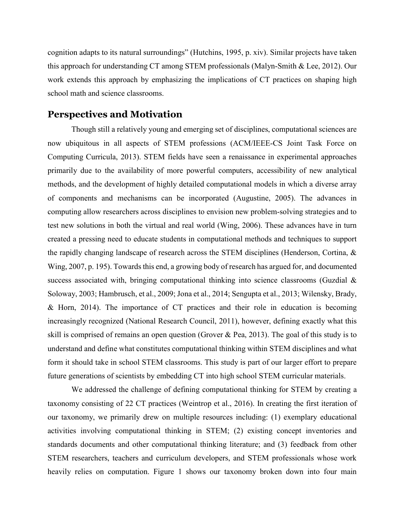cognition adapts to its natural surroundings" (Hutchins, 1995, p. xiv). Similar projects have taken this approach for understanding CT among STEM professionals (Malyn-Smith & Lee, 2012). Our work extends this approach by emphasizing the implications of CT practices on shaping high school math and science classrooms.

#### Perspectives and Motivation

Though still a relatively young and emerging set of disciplines, computational sciences are now ubiquitous in all aspects of STEM professions (ACM/IEEE-CS Joint Task Force on Computing Curricula, 2013). STEM fields have seen a renaissance in experimental approaches primarily due to the availability of more powerful computers, accessibility of new analytical methods, and the development of highly detailed computational models in which a diverse array of components and mechanisms can be incorporated (Augustine, 2005). The advances in computing allow researchers across disciplines to envision new problem-solving strategies and to test new solutions in both the virtual and real world (Wing, 2006). These advances have in turn created a pressing need to educate students in computational methods and techniques to support the rapidly changing landscape of research across the STEM disciplines (Henderson, Cortina, & Wing, 2007, p. 195). Towards this end, a growing body of research has argued for, and documented success associated with, bringing computational thinking into science classrooms (Guzdial & Soloway, 2003; Hambrusch, et al., 2009; Jona et al., 2014; Sengupta et al., 2013; Wilensky, Brady, & Horn, 2014). The importance of CT practices and their role in education is becoming increasingly recognized (National Research Council, 2011), however, defining exactly what this skill is comprised of remains an open question (Grover & Pea, 2013). The goal of this study is to understand and define what constitutes computational thinking within STEM disciplines and what form it should take in school STEM classrooms. This study is part of our larger effort to prepare future generations of scientists by embedding CT into high school STEM curricular materials.

We addressed the challenge of defining computational thinking for STEM by creating a taxonomy consisting of 22 CT practices (Weintrop et al., 2016). In creating the first iteration of our taxonomy, we primarily drew on multiple resources including: (1) exemplary educational activities involving computational thinking in STEM; (2) existing concept inventories and standards documents and other computational thinking literature; and (3) feedback from other STEM researchers, teachers and curriculum developers, and STEM professionals whose work heavily relies on computation. Figure 1 shows our taxonomy broken down into four main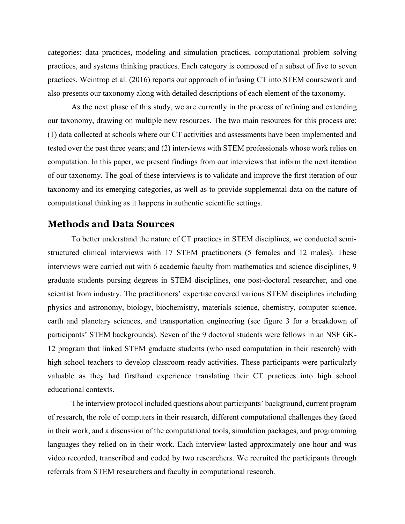categories: data practices, modeling and simulation practices, computational problem solving practices, and systems thinking practices. Each category is composed of a subset of five to seven practices. Weintrop et al. (2016) reports our approach of infusing CT into STEM coursework and also presents our taxonomy along with detailed descriptions of each element of the taxonomy.

As the next phase of this study, we are currently in the process of refining and extending our taxonomy, drawing on multiple new resources. The two main resources for this process are: (1) data collected at schools where our CT activities and assessments have been implemented and tested over the past three years; and (2) interviews with STEM professionals whose work relies on computation. In this paper, we present findings from our interviews that inform the next iteration of our taxonomy. The goal of these interviews is to validate and improve the first iteration of our taxonomy and its emerging categories, as well as to provide supplemental data on the nature of computational thinking as it happens in authentic scientific settings.

#### Methods and Data Sources

To better understand the nature of CT practices in STEM disciplines, we conducted semistructured clinical interviews with 17 STEM practitioners (5 females and 12 males). These interviews were carried out with 6 academic faculty from mathematics and science disciplines, 9 graduate students pursing degrees in STEM disciplines, one post-doctoral researcher, and one scientist from industry. The practitioners' expertise covered various STEM disciplines including physics and astronomy, biology, biochemistry, materials science, chemistry, computer science, earth and planetary sciences, and transportation engineering (see figure 3 for a breakdown of participants' STEM backgrounds). Seven of the 9 doctoral students were fellows in an NSF GK-12 program that linked STEM graduate students (who used computation in their research) with high school teachers to develop classroom-ready activities. These participants were particularly valuable as they had firsthand experience translating their CT practices into high school educational contexts.

The interview protocol included questions about participants' background, current program of research, the role of computers in their research, different computational challenges they faced in their work, and a discussion of the computational tools, simulation packages, and programming languages they relied on in their work. Each interview lasted approximately one hour and was video recorded, transcribed and coded by two researchers. We recruited the participants through referrals from STEM researchers and faculty in computational research.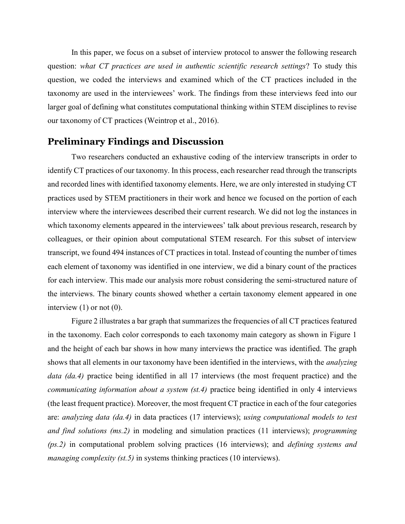In this paper, we focus on a subset of interview protocol to answer the following research question: what CT practices are used in authentic scientific research settings? To study this question, we coded the interviews and examined which of the CT practices included in the taxonomy are used in the interviewees' work. The findings from these interviews feed into our larger goal of defining what constitutes computational thinking within STEM disciplines to revise our taxonomy of CT practices (Weintrop et al., 2016).

### Preliminary Findings and Discussion

Two researchers conducted an exhaustive coding of the interview transcripts in order to identify CT practices of our taxonomy. In this process, each researcher read through the transcripts and recorded lines with identified taxonomy elements. Here, we are only interested in studying CT practices used by STEM practitioners in their work and hence we focused on the portion of each interview where the interviewees described their current research. We did not log the instances in which taxonomy elements appeared in the interviewees' talk about previous research, research by colleagues, or their opinion about computational STEM research. For this subset of interview transcript, we found 494 instances of CT practices in total. Instead of counting the number of times each element of taxonomy was identified in one interview, we did a binary count of the practices for each interview. This made our analysis more robust considering the semi-structured nature of the interviews. The binary counts showed whether a certain taxonomy element appeared in one interview  $(1)$  or not  $(0)$ .

Figure 2 illustrates a bar graph that summarizes the frequencies of all CT practices featured in the taxonomy. Each color corresponds to each taxonomy main category as shown in Figure 1 and the height of each bar shows in how many interviews the practice was identified. The graph shows that all elements in our taxonomy have been identified in the interviews, with the *analyzing* data (da.4) practice being identified in all 17 interviews (the most frequent practice) and the communicating information about a system (st.4) practice being identified in only 4 interviews (the least frequent practice). Moreover, the most frequent CT practice in each of the four categories are: analyzing data (da.4) in data practices (17 interviews); using computational models to test and find solutions (ms.2) in modeling and simulation practices (11 interviews); programming  $(ps.2)$  in computational problem solving practices (16 interviews); and *defining systems and* managing complexity (st. 5) in systems thinking practices (10 interviews).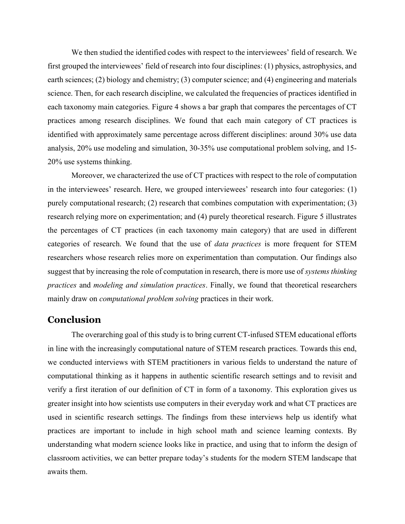We then studied the identified codes with respect to the interviewees' field of research. We first grouped the interviewees' field of research into four disciplines: (1) physics, astrophysics, and earth sciences; (2) biology and chemistry; (3) computer science; and (4) engineering and materials science. Then, for each research discipline, we calculated the frequencies of practices identified in each taxonomy main categories. Figure 4 shows a bar graph that compares the percentages of CT practices among research disciplines. We found that each main category of CT practices is identified with approximately same percentage across different disciplines: around 30% use data analysis, 20% use modeling and simulation, 30-35% use computational problem solving, and 15- 20% use systems thinking.

Moreover, we characterized the use of CT practices with respect to the role of computation in the interviewees' research. Here, we grouped interviewees' research into four categories: (1) purely computational research; (2) research that combines computation with experimentation; (3) research relying more on experimentation; and (4) purely theoretical research. Figure 5 illustrates the percentages of CT practices (in each taxonomy main category) that are used in different categories of research. We found that the use of data practices is more frequent for STEM researchers whose research relies more on experimentation than computation. Our findings also suggest that by increasing the role of computation in research, there is more use of *systems thinking* practices and modeling and simulation practices. Finally, we found that theoretical researchers mainly draw on computational problem solving practices in their work.

## **Conclusion**

The overarching goal of this study is to bring current CT-infused STEM educational efforts in line with the increasingly computational nature of STEM research practices. Towards this end, we conducted interviews with STEM practitioners in various fields to understand the nature of computational thinking as it happens in authentic scientific research settings and to revisit and verify a first iteration of our definition of CT in form of a taxonomy. This exploration gives us greater insight into how scientists use computers in their everyday work and what CT practices are used in scientific research settings. The findings from these interviews help us identify what practices are important to include in high school math and science learning contexts. By understanding what modern science looks like in practice, and using that to inform the design of classroom activities, we can better prepare today's students for the modern STEM landscape that awaits them.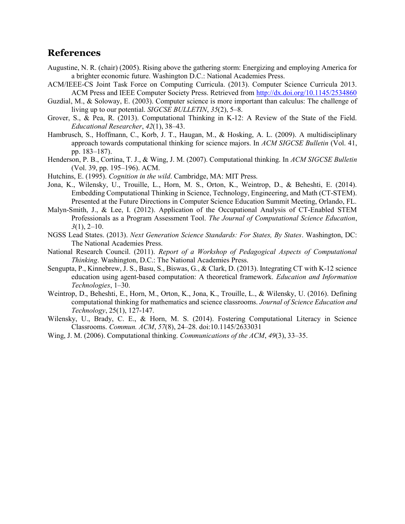## References

- Augustine, N. R. (chair) (2005). Rising above the gathering storm: Energizing and employing America for a brighter economic future. Washington D.C.: National Academies Press.
- ACM/IEEE-CS Joint Task Force on Computing Curricula. (2013). Computer Science Curricula 2013. ACM Press and IEEE Computer Society Press. Retrieved from http://dx.doi.org/10.1145/2534860
- Guzdial, M., & Soloway, E. (2003). Computer science is more important than calculus: The challenge of living up to our potential. SIGCSE BULLETIN, 35(2), 5–8.
- Grover, S., & Pea, R. (2013). Computational Thinking in K-12: A Review of the State of the Field. Educational Researcher, 42(1), 38–43.
- Hambrusch, S., Hoffmann, C., Korb, J. T., Haugan, M., & Hosking, A. L. (2009). A multidisciplinary approach towards computational thinking for science majors. In ACM SIGCSE Bulletin (Vol. 41, pp. 183–187).
- Henderson, P. B., Cortina, T. J., & Wing, J. M. (2007). Computational thinking. In ACM SIGCSE Bulletin (Vol. 39, pp. 195–196). ACM.
- Hutchins, E. (1995). Cognition in the wild. Cambridge, MA: MIT Press.
- Jona, K., Wilensky, U., Trouille, L., Horn, M. S., Orton, K., Weintrop, D., & Beheshti, E. (2014). Embedding Computational Thinking in Science, Technology, Engineering, and Math (CT-STEM). Presented at the Future Directions in Computer Science Education Summit Meeting, Orlando, FL.
- Malyn-Smith, J., & Lee, I. (2012). Application of the Occupational Analysis of CT-Enabled STEM Professionals as a Program Assessment Tool. The Journal of Computational Science Education,  $3(1)$ ,  $2-10$ .
- NGSS Lead States. (2013). Next Generation Science Standards: For States, By States. Washington, DC: The National Academies Press.
- National Research Council. (2011). Report of a Workshop of Pedagogical Aspects of Computational Thinking. Washington, D.C.: The National Academies Press.
- Sengupta, P., Kinnebrew, J. S., Basu, S., Biswas, G., & Clark, D. (2013). Integrating CT with K-12 science education using agent-based computation: A theoretical framework. Education and Information Technologies, 1–30.
- Weintrop, D., Beheshti, E., Horn, M., Orton, K., Jona, K., Trouille, L., & Wilensky, U. (2016). Defining computational thinking for mathematics and science classrooms. Journal of Science Education and Technology, 25(1), 127-147.
- Wilensky, U., Brady, C. E., & Horn, M. S. (2014). Fostering Computational Literacy in Science Classrooms. Commun. ACM, 57(8), 24–28. doi:10.1145/2633031
- Wing, J. M. (2006). Computational thinking. Communications of the ACM, 49(3), 33–35.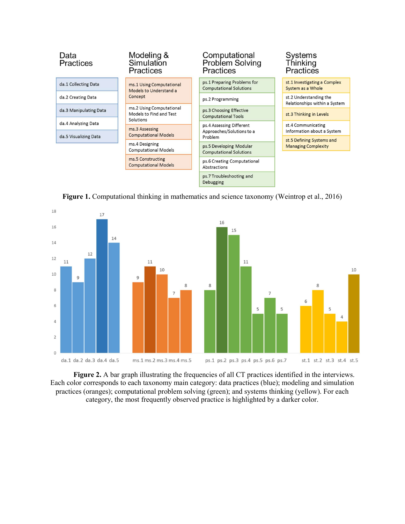

Figure 1. Computational thinking in mathematics and science taxonomy (Weintrop et al., 2016)



Figure 2. A bar graph illustrating the frequencies of all CT practices identified in the interviews. Each color corresponds to each taxonomy main category: data practices (blue); modeling and simulation practices (oranges); computational problem solving (green); and systems thinking (yellow). For each category, the most frequently observed practice is highlighted by a darker color.